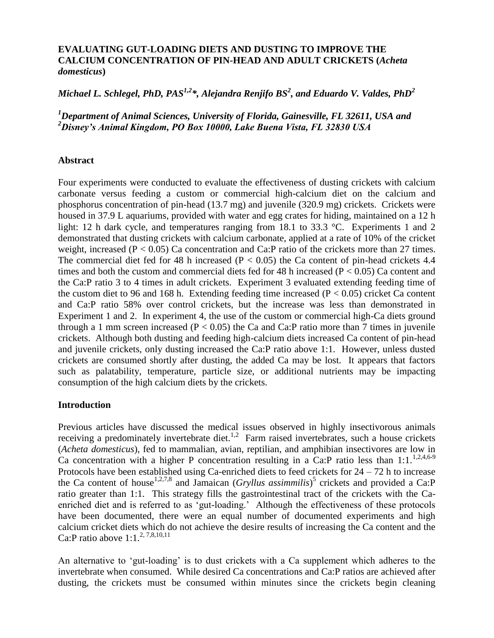## **EVALUATING GUT-LOADING DIETS AND DUSTING TO IMPROVE THE CALCIUM CONCENTRATION OF PIN-HEAD AND ADULT CRICKETS (***Acheta domesticus***)**

# *Michael L. Schlegel, PhD, PAS1,2\*, Alejandra Renjifo BS<sup>2</sup> , and Eduardo V. Valdes, PhD<sup>2</sup>*

*<sup>1</sup>Department of Animal Sciences, University of Florida, Gainesville, FL 32611, USA and <sup>2</sup>Disney's Animal Kingdom, PO Box 10000, Lake Buena Vista, FL 32830 USA*

## **Abstract**

Four experiments were conducted to evaluate the effectiveness of dusting crickets with calcium carbonate versus feeding a custom or commercial high-calcium diet on the calcium and phosphorus concentration of pin-head (13.7 mg) and juvenile (320.9 mg) crickets. Crickets were housed in 37.9 L aquariums, provided with water and egg crates for hiding, maintained on a 12 h light: 12 h dark cycle, and temperatures ranging from 18.1 to 33.3 °C. Experiments 1 and 2 demonstrated that dusting crickets with calcium carbonate, applied at a rate of 10% of the cricket weight, increased  $(P < 0.05)$  Ca concentration and Ca:P ratio of the crickets more than 27 times. The commercial diet fed for 48 h increased ( $P < 0.05$ ) the Ca content of pin-head crickets 4.4 times and both the custom and commercial diets fed for 48 h increased ( $P < 0.05$ ) Ca content and the Ca:P ratio 3 to 4 times in adult crickets. Experiment 3 evaluated extending feeding time of the custom diet to 96 and 168 h. Extending feeding time increased ( $P < 0.05$ ) cricket Ca content and Ca:P ratio 58% over control crickets, but the increase was less than demonstrated in Experiment 1 and 2. In experiment 4, the use of the custom or commercial high-Ca diets ground through a 1 mm screen increased ( $P < 0.05$ ) the Ca and Ca:P ratio more than 7 times in juvenile crickets. Although both dusting and feeding high-calcium diets increased Ca content of pin-head and juvenile crickets, only dusting increased the Ca:P ratio above 1:1. However, unless dusted crickets are consumed shortly after dusting, the added Ca may be lost. It appears that factors such as palatability, temperature, particle size, or additional nutrients may be impacting consumption of the high calcium diets by the crickets.

## **Introduction**

Previous articles have discussed the medical issues observed in highly insectivorous animals receiving a predominately invertebrate diet.<sup>1,2</sup> Farm raised invertebrates, such a house crickets (*Acheta domesticus*), fed to mammalian, avian, reptilian, and amphibian insectivores are low in Ca concentration with a higher P concentration resulting in a Ca:P ratio less than 1:1.<sup>1,2,4,6-9</sup> Protocols have been established using Ca-enriched diets to feed crickets for 24 – 72 h to increase the Ca content of house<sup>1,2,7,8</sup> and Jamaican (*Gryllus assimmilis*)<sup>5</sup> crickets and provided a Ca:P ratio greater than 1:1. This strategy fills the gastrointestinal tract of the crickets with the Caenriched diet and is referred to as 'gut-loading.' Although the effectiveness of these protocols have been documented, there were an equal number of documented experiments and high calcium cricket diets which do not achieve the desire results of increasing the Ca content and the Ca:P ratio above  $1:1.^{2,7,8,10,11}$ 

An alternative to 'gut-loading' is to dust crickets with a Ca supplement which adheres to the invertebrate when consumed. While desired Ca concentrations and Ca:P ratios are achieved after dusting, the crickets must be consumed within minutes since the crickets begin cleaning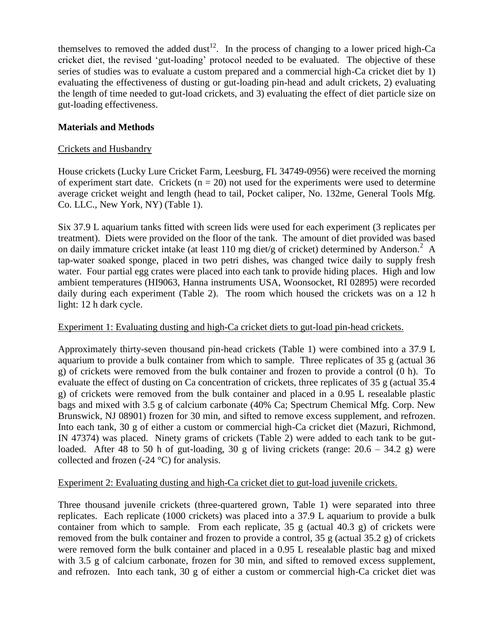themselves to removed the added dust<sup>12</sup>. In the process of changing to a lower priced high-Ca cricket diet, the revised 'gut-loading' protocol needed to be evaluated. The objective of these series of studies was to evaluate a custom prepared and a commercial high-Ca cricket diet by 1) evaluating the effectiveness of dusting or gut-loading pin-head and adult crickets, 2) evaluating the length of time needed to gut-load crickets, and 3) evaluating the effect of diet particle size on gut-loading effectiveness.

# **Materials and Methods**

# Crickets and Husbandry

House crickets (Lucky Lure Cricket Farm, Leesburg, FL 34749-0956) were received the morning of experiment start date. Crickets ( $n = 20$ ) not used for the experiments were used to determine average cricket weight and length (head to tail, Pocket caliper, No. 132me, General Tools Mfg. Co. LLC., New York, NY) (Table 1).

Six 37.9 L aquarium tanks fitted with screen lids were used for each experiment (3 replicates per treatment). Diets were provided on the floor of the tank. The amount of diet provided was based on daily immature cricket intake (at least 110 mg diet/g of cricket) determined by Anderson.<sup>2</sup> A tap-water soaked sponge, placed in two petri dishes, was changed twice daily to supply fresh water. Four partial egg crates were placed into each tank to provide hiding places. High and low ambient temperatures (HI9063, Hanna instruments USA, Woonsocket, RI 02895) were recorded daily during each experiment (Table 2). The room which housed the crickets was on a 12 h light: 12 h dark cycle.

## Experiment 1: Evaluating dusting and high-Ca cricket diets to gut-load pin-head crickets.

Approximately thirty-seven thousand pin-head crickets (Table 1) were combined into a 37.9 L aquarium to provide a bulk container from which to sample. Three replicates of 35 g (actual 36 g) of crickets were removed from the bulk container and frozen to provide a control (0 h). To evaluate the effect of dusting on Ca concentration of crickets, three replicates of 35 g (actual 35.4 g) of crickets were removed from the bulk container and placed in a 0.95 L resealable plastic bags and mixed with 3.5 g of calcium carbonate (40% Ca; Spectrum Chemical Mfg. Corp. New Brunswick, NJ 08901) frozen for 30 min, and sifted to remove excess supplement, and refrozen. Into each tank, 30 g of either a custom or commercial high-Ca cricket diet (Mazuri, Richmond, IN 47374) was placed. Ninety grams of crickets (Table 2) were added to each tank to be gutloaded. After 48 to 50 h of gut-loading, 30 g of living crickets (range:  $20.6 - 34.2$  g) were collected and frozen (-24 °C) for analysis.

## Experiment 2: Evaluating dusting and high-Ca cricket diet to gut-load juvenile crickets.

Three thousand juvenile crickets (three-quartered grown, Table 1) were separated into three replicates. Each replicate (1000 crickets) was placed into a 37.9 L aquarium to provide a bulk container from which to sample. From each replicate,  $35 \text{ g}$  (actual  $40.3 \text{ g}$ ) of crickets were removed from the bulk container and frozen to provide a control, 35 g (actual 35.2 g) of crickets were removed form the bulk container and placed in a 0.95 L resealable plastic bag and mixed with 3.5 g of calcium carbonate, frozen for 30 min, and sifted to removed excess supplement, and refrozen. Into each tank, 30 g of either a custom or commercial high-Ca cricket diet was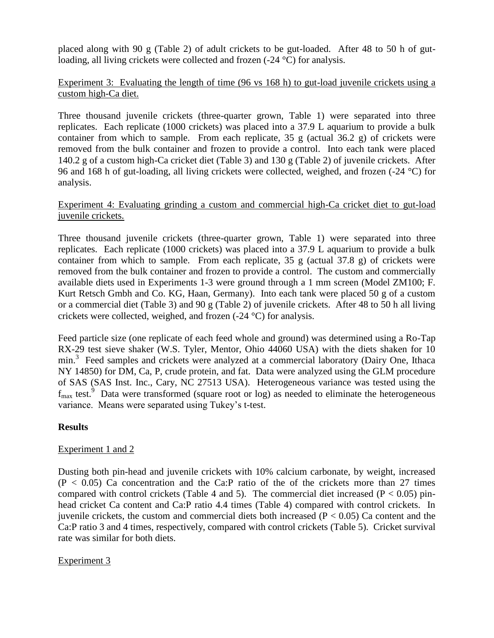placed along with 90 g (Table 2) of adult crickets to be gut-loaded. After 48 to 50 h of gutloading, all living crickets were collected and frozen (-24 °C) for analysis.

# Experiment 3: Evaluating the length of time (96 vs 168 h) to gut-load juvenile crickets using a custom high-Ca diet.

Three thousand juvenile crickets (three-quarter grown, Table 1) were separated into three replicates. Each replicate (1000 crickets) was placed into a 37.9 L aquarium to provide a bulk container from which to sample. From each replicate,  $35 \text{ g}$  (actual  $36.2 \text{ g}$ ) of crickets were removed from the bulk container and frozen to provide a control. Into each tank were placed 140.2 g of a custom high-Ca cricket diet (Table 3) and 130 g (Table 2) of juvenile crickets. After 96 and 168 h of gut-loading, all living crickets were collected, weighed, and frozen (-24 °C) for analysis.

## Experiment 4: Evaluating grinding a custom and commercial high-Ca cricket diet to gut-load juvenile crickets.

Three thousand juvenile crickets (three-quarter grown, Table 1) were separated into three replicates. Each replicate (1000 crickets) was placed into a 37.9 L aquarium to provide a bulk container from which to sample. From each replicate, 35 g (actual 37.8 g) of crickets were removed from the bulk container and frozen to provide a control. The custom and commercially available diets used in Experiments 1-3 were ground through a 1 mm screen (Model ZM100; F. Kurt Retsch Gmbh and Co. KG, Haan, Germany). Into each tank were placed 50 g of a custom or a commercial diet (Table 3) and 90 g (Table 2) of juvenile crickets. After 48 to 50 h all living crickets were collected, weighed, and frozen (-24 °C) for analysis.

Feed particle size (one replicate of each feed whole and ground) was determined using a Ro-Tap RX-29 test sieve shaker (W.S. Tyler, Mentor, Ohio 44060 USA) with the diets shaken for 10 min.<sup>3</sup> Feed samples and crickets were analyzed at a commercial laboratory (Dairy One, Ithaca NY 14850) for DM, Ca, P, crude protein, and fat. Data were analyzed using the GLM procedure of SAS (SAS Inst. Inc., Cary, NC 27513 USA). Heterogeneous variance was tested using the  $f_{\text{max}}$  test.<sup>9</sup> Data were transformed (square root or log) as needed to eliminate the heterogeneous variance. Means were separated using Tukey's t-test.

## **Results**

# Experiment 1 and 2

Dusting both pin-head and juvenile crickets with 10% calcium carbonate, by weight, increased  $(P < 0.05)$  Ca concentration and the Ca:P ratio of the of the crickets more than 27 times compared with control crickets (Table 4 and 5). The commercial diet increased ( $P < 0.05$ ) pinhead cricket Ca content and Ca:P ratio 4.4 times (Table 4) compared with control crickets. In juvenile crickets, the custom and commercial diets both increased ( $P < 0.05$ ) Ca content and the Ca:P ratio 3 and 4 times, respectively, compared with control crickets (Table 5). Cricket survival rate was similar for both diets.

# Experiment 3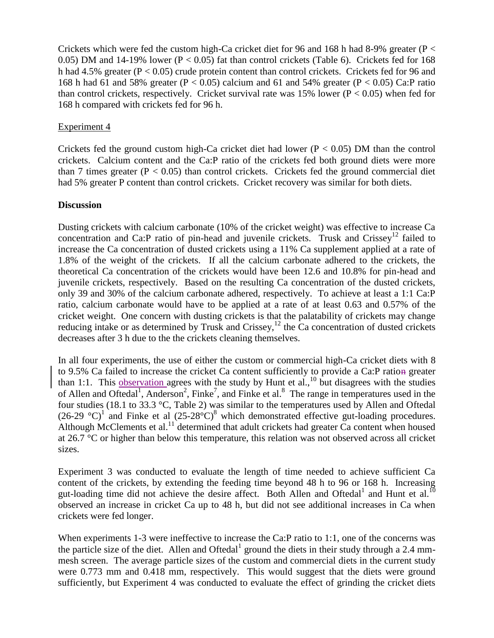Crickets which were fed the custom high-Ca cricket diet for 96 and 168 h had 8-9% greater ( $P <$ 0.05) DM and 14-19% lower ( $P < 0.05$ ) fat than control crickets (Table 6). Crickets fed for 168 h had 4.5% greater (P < 0.05) crude protein content than control crickets. Crickets fed for 96 and 168 h had 61 and 58% greater ( $P < 0.05$ ) calcium and 61 and 54% greater ( $P < 0.05$ ) Ca:P ratio than control crickets, respectively. Cricket survival rate was 15% lower ( $P < 0.05$ ) when fed for 168 h compared with crickets fed for 96 h.

# Experiment 4

Crickets fed the ground custom high-Ca cricket diet had lower ( $P < 0.05$ ) DM than the control crickets. Calcium content and the Ca:P ratio of the crickets fed both ground diets were more than 7 times greater ( $P < 0.05$ ) than control crickets. Crickets fed the ground commercial diet had 5% greater P content than control crickets. Cricket recovery was similar for both diets.

## **Discussion**

Dusting crickets with calcium carbonate (10% of the cricket weight) was effective to increase Ca concentration and Ca:P ratio of pin-head and juvenile crickets. Trusk and  $Crissey$ <sup>12</sup> failed to increase the Ca concentration of dusted crickets using a 11% Ca supplement applied at a rate of 1.8% of the weight of the crickets. If all the calcium carbonate adhered to the crickets, the theoretical Ca concentration of the crickets would have been 12.6 and 10.8% for pin-head and juvenile crickets, respectively. Based on the resulting Ca concentration of the dusted crickets, only 39 and 30% of the calcium carbonate adhered, respectively. To achieve at least a 1:1 Ca:P ratio, calcium carbonate would have to be applied at a rate of at least 0.63 and 0.57% of the cricket weight. One concern with dusting crickets is that the palatability of crickets may change reducing intake or as determined by Trusk and Crissey,<sup>12</sup> the Ca concentration of dusted crickets decreases after 3 h due to the the crickets cleaning themselves.

In all four experiments, the use of either the custom or commercial high-Ca cricket diets with 8 to 9.5% Ca failed to increase the cricket Ca content sufficiently to provide a Ca:P ration greater than 1:1. This observation agrees with the study by Hunt et al.,<sup>10</sup> but disagrees with the studies of Allen and Oftedal<sup>1</sup>, Anderson<sup>2</sup>, Finke<sup>7</sup>, and Finke et al.<sup>8</sup> The range in temperatures used in the four studies (18.1 to 33.3 °C, Table 2) was similar to the temperatures used by Allen and Oftedal  $(26-29 \text{ °C})^1$  and Finke et al  $(25-28 \text{ °C})^8$  which demonstrated effective gut-loading procedures. Although McClements et al.<sup>11</sup> determined that adult crickets had greater Ca content when housed at 26.7 °C or higher than below this temperature, this relation was not observed across all cricket sizes.

Experiment 3 was conducted to evaluate the length of time needed to achieve sufficient Ca content of the crickets, by extending the feeding time beyond 48 h to 96 or 168 h. Increasing gut-loading time did not achieve the desire affect. Both Allen and Oftedal<sup>1</sup> and Hunt et al.<sup>10</sup> observed an increase in cricket Ca up to 48 h, but did not see additional increases in Ca when crickets were fed longer.

When experiments 1-3 were ineffective to increase the Ca:P ratio to 1:1, one of the concerns was the particle size of the diet. Allen and Oftedal<sup>1</sup> ground the diets in their study through a 2.4 mmmesh screen. The average particle sizes of the custom and commercial diets in the current study were 0.773 mm and 0.418 mm, respectively. This would suggest that the diets were ground sufficiently, but Experiment 4 was conducted to evaluate the effect of grinding the cricket diets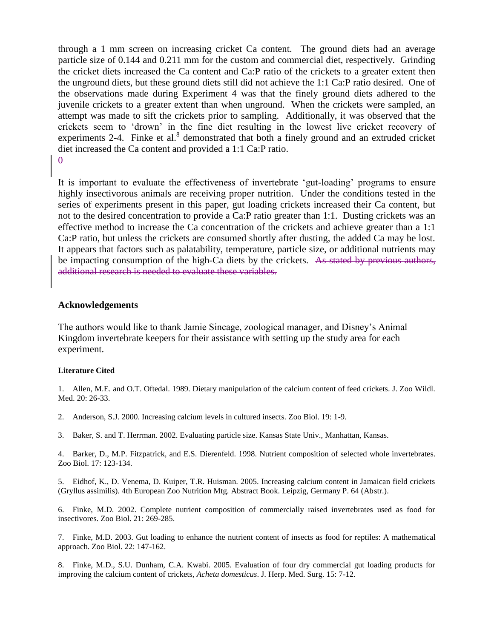through a 1 mm screen on increasing cricket Ca content. The ground diets had an average particle size of 0.144 and 0.211 mm for the custom and commercial diet, respectively. Grinding the cricket diets increased the Ca content and Ca:P ratio of the crickets to a greater extent then the unground diets, but these ground diets still did not achieve the 1:1 Ca:P ratio desired. One of the observations made during Experiment 4 was that the finely ground diets adhered to the juvenile crickets to a greater extent than when unground. When the crickets were sampled, an attempt was made to sift the crickets prior to sampling. Additionally, it was observed that the crickets seem to 'drown' in the fine diet resulting in the lowest live cricket recovery of experiments 2-4. Finke et al. $<sup>8</sup>$  demonstrated that both a finely ground and an extruded cricket</sup> diet increased the Ca content and provided a 1:1 Ca:P ratio.  $\theta$ 

It is important to evaluate the effectiveness of invertebrate 'gut-loading' programs to ensure highly insectivorous animals are receiving proper nutrition. Under the conditions tested in the series of experiments present in this paper, gut loading crickets increased their Ca content, but not to the desired concentration to provide a Ca:P ratio greater than 1:1. Dusting crickets was an effective method to increase the Ca concentration of the crickets and achieve greater than a 1:1 Ca:P ratio, but unless the crickets are consumed shortly after dusting, the added Ca may be lost. It appears that factors such as palatability, temperature, particle size, or additional nutrients may be impacting consumption of the high-Ca diets by the crickets. As stated by previous authors, additional research is needed to evaluate these variables.

#### **Acknowledgements**

The authors would like to thank Jamie Sincage, zoological manager, and Disney's Animal Kingdom invertebrate keepers for their assistance with setting up the study area for each experiment.

#### **Literature Cited**

1. Allen, M.E. and O.T. Oftedal. 1989. Dietary manipulation of the calcium content of feed crickets. J. Zoo Wildl. Med. 20: 26-33.

2. Anderson, S.J. 2000. Increasing calcium levels in cultured insects. Zoo Biol. 19: 1-9.

3. Baker, S. and T. Herrman. 2002. Evaluating particle size. Kansas State Univ., Manhattan, Kansas.

4. Barker, D., M.P. Fitzpatrick, and E.S. Dierenfeld. 1998. Nutrient composition of selected whole invertebrates. Zoo Biol. 17: 123-134.

5. Eidhof, K., D. Venema, D. Kuiper, T.R. Huisman. 2005. Increasing calcium content in Jamaican field crickets (Gryllus assimilis). 4th European Zoo Nutrition Mtg. Abstract Book. Leipzig, Germany P. 64 (Abstr.).

6. Finke, M.D. 2002. Complete nutrient composition of commercially raised invertebrates used as food for insectivores. Zoo Biol. 21: 269-285.

7. Finke, M.D. 2003. Gut loading to enhance the nutrient content of insects as food for reptiles: A mathematical approach. Zoo Biol. 22: 147-162.

8. Finke, M.D., S.U. Dunham, C.A. Kwabi. 2005. Evaluation of four dry commercial gut loading products for improving the calcium content of crickets, *Acheta domesticus*. J. Herp. Med. Surg. 15: 7-12.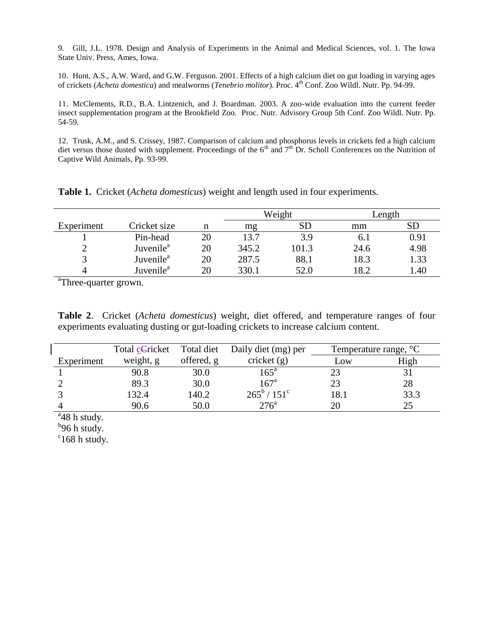9. Gill, J.L. 1978. Design and Analysis of Experiments in the Animal and Medical Sciences, vol. 1. The Iowa State Univ. Press, Ames, Iowa.

10. Hunt, A.S., A.W. Ward, and G.W. Ferguson. 2001. Effects of a high calcium diet on gut loading in varying ages of crickets (*Acheta domestica*) and mealworms (*Tenebrio molitor*). Proc. 4th Conf. Zoo Wildl. Nutr. Pp. 94-99.

11. McClements, R.D., B.A. Lintzenich, and J. Boardman. 2003. A zoo-wide evaluation into the current feeder insect supplementation program at the Brookfield Zoo. Proc. Nutr. Advisory Group 5th Conf. Zoo Wildl. Nutr. Pp. 54-59.

12. Trusk, A.M., and S. Crissey, 1987. Comparison of calcium and phosphorus levels in crickets fed a high calcium diet versus those dusted with supplement. Proceedings of the  $6<sup>th</sup>$  and  $7<sup>th</sup>$  Dr. Scholl Conferences on the Nutrition of Captive Wild Animals, Pp. 93-99.

|            |                       |    | Weight |           | Length |      |
|------------|-----------------------|----|--------|-----------|--------|------|
| Experiment | Cricket size          | n  | mg     | <b>SD</b> | mm     |      |
|            | Pin-head              | 20 | 13.7   | 3.9       | 0. l   | 0.91 |
|            | Juvenile <sup>a</sup> | 20 | 345.2  | 101.3     | 24.6   | 4.98 |
|            | Juvenile <sup>a</sup> | 20 | 287.5  | 88.1      | 18.3   | 1.33 |
|            | Juvenile <sup>a</sup> | 20 | 330.1  | 52.0      | 18.2   | 1.40 |

**Table 1.** Cricket (*Acheta domesticus*) weight and length used in four experiments.

<sup>a</sup>Three-quarter grown.

**Table 2**. Cricket (*Acheta domesticus*) weight, diet offered, and temperature ranges of four experiments evaluating dusting or gut-loading crickets to increase calcium content.

|            | Total cCricket | Total diet | Daily diet (mg) per           |      | Temperature range, °C |  |
|------------|----------------|------------|-------------------------------|------|-----------------------|--|
| Experiment | weight, g      | offered, g | cricket $(g)$                 | Low  | High                  |  |
|            | 90.8           | 30.0       | $165^{\mathrm{a}}$            |      |                       |  |
|            | 89.3           | 30.0       | 167 <sup>a</sup>              | 23   | 28                    |  |
|            | 132.4          | 140.2      | $265^{\rm b}$ / $151^{\rm c}$ | 18.1 | 33.3                  |  |
|            | 90.6           | 50.0       | 276 <sup>a</sup>              | 20   | 25                    |  |

 $a<sup>a</sup>48$  h study.

 $^{b}$ 96 h study.

 $c$ <sup>c</sup>168 h study.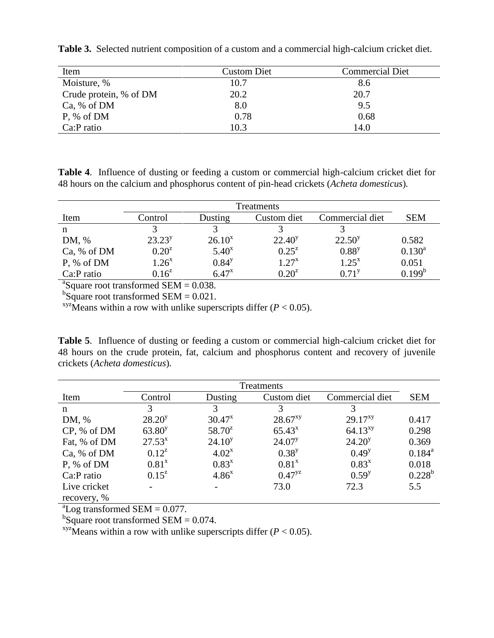| Item                   | <b>Custom Diet</b> | <b>Commercial Diet</b> |
|------------------------|--------------------|------------------------|
| Moisture, %            | 10.7               | 8.6                    |
| Crude protein, % of DM | 20.2               | 20.7                   |
| Ca, % of DM            | 8.0                | 9.5                    |
| P, % of DM             | 0.78               | 0.68                   |
| Ca:P ratio             | 10.3               | 14.0                   |

**Table 3.** Selected nutrient composition of a custom and a commercial high-calcium cricket diet.

**Table 4**. Influence of dusting or feeding a custom or commercial high-calcium cricket diet for 48 hours on the calcium and phosphorus content of pin-head crickets (*Acheta domesticus*)*.*

|             | <b>Treatments</b> |            |             |                 |                    |  |  |
|-------------|-------------------|------------|-------------|-----------------|--------------------|--|--|
| Item        | Control           | Dusting    | Custom diet | Commercial diet | <b>SEM</b>         |  |  |
| n           |                   |            |             |                 |                    |  |  |
| DM, %       | $23.23^{y}$       | $26.10^x$  | $22.40^y$   | $22.50^y$       | 0.582              |  |  |
| Ca, % of DM | $0.20^{z}$        | $5.40^x$   | $0.25^{z}$  | $0.88^{y}$      | $0.130^{a}$        |  |  |
| P, % of DM  | $1.26^{x}$        | $0.84^{y}$ | $1.27^{x}$  | $1.25^{x}$      | 0.051              |  |  |
| Ca:P ratio  | $0.16^{z}$        | $6.47^{x}$ | $9.20^z$    | $0.71^{y}$      | 0.199 <sup>b</sup> |  |  |

 ${}^{a}$ Square root transformed SEM = 0.038.

 $b$ Square root transformed SEM = 0.021.

<sup>xyz</sup>Means within a row with unlike superscripts differ ( $P < 0.05$ ).

**Table 5**. Influence of dusting or feeding a custom or commercial high-calcium cricket diet for 48 hours on the crude protein, fat, calcium and phosphorus content and recovery of juvenile crickets (*Acheta domesticus*)*.*

| Treatments   |                    |             |              |                 |             |
|--------------|--------------------|-------------|--------------|-----------------|-------------|
| Item         | Control            | Dusting     | Custom diet  | Commercial diet | <b>SEM</b>  |
| n            | 3                  | 3           |              | 3               |             |
| DM, %        | $28.20^y$          | $30.47^x$   | $28.67^{xy}$ | $29.17^{xy}$    | 0.417       |
| CP, % of DM  | 63.80 <sup>y</sup> | $58.70^z$   | $65.43^{x}$  | $64.13^{xy}$    | 0.298       |
| Fat, % of DM | $27.53^{x}$        | $24.10^{y}$ | $24.07^y$    | $24.20^y$       | 0.369       |
| Ca, % of DM  | $0.12^z$           | $4.02^{x}$  | $0.38^{y}$   | $0.49^{y}$      | $0.184^{a}$ |
| P, % of DM   | $0.81^{x}$         | $0.83^{x}$  | $0.81^{x}$   | $0.83^{x}$      | 0.018       |
| Ca:P ratio   | $0.15^{z}$         | $4.86^{x}$  | $0.47^{yz}$  | $0.59^{y}$      | $0.228^{b}$ |
| Live cricket |                    |             | 73.0         | 72.3            | 5.5         |
| recovery, %  |                    |             |              |                 |             |

 ${}^{\text{a}}$ Log transformed SEM = 0.077.

 $b$ Square root transformed SEM = 0.074.

<sup>xyz</sup>Means within a row with unlike superscripts differ  $(P < 0.05)$ .